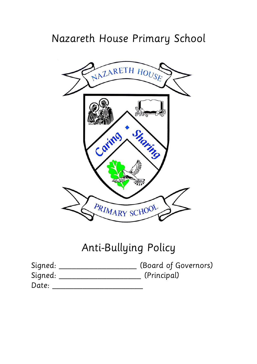## Nazareth House Primary School



# Anti-Bullying Policy

| Signed: | (Board of Governors) |
|---------|----------------------|
| Signed: | (Principal)          |
| Date:   |                      |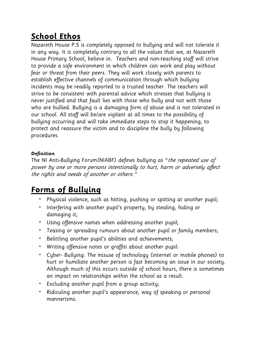#### **School Ethos**

Nazareth House P.S is completely opposed to bullying and will not tolerate it in any way. It is completely contrary to all the values that we, at Nazareth House Primary School, believe in. Teachers and non-teaching staff will strive to provide a safe environment in which children can work and play without fear or threat from their peers. They will work closely with parents to establish effective channels of communication through which bullying incidents may be readily reported to a trusted teacher. The teachers will strive to be consistent with parental advice which stresses that bullying is never justified and that fault lies with those who bully and not with those who are bullied. Bullying is a damaging form of abuse and is not tolerated in our school. All staff will be/are vigilant at all times to the possibility of bullying occurring and will take immediate steps to stop it happening, to protect and reassure the victim and to discipline the bully by following procedures.

#### **Definition**

The NI Anti-Bullying Forum(NIABF) defines bullying as "the repeated use of power by one or more persons intentionally to hurt, harm or adversely affect the rights and needs of another or others."

#### **Forms of Bullying**

- Physical violence, such as hitting, pushing or spitting at another pupil;
- Interfering with another pupil's property, by stealing, hiding or damaging it;
- Using offensive names when addressing another pupil;
- Teasing or spreading rumours about another pupil or family members;
- Belittling another pupil's abilities and achievements;
- Writing offensive notes or graffiti about another pupil:
- Cyber- Bullying: The misuse of technology (internet or mobile phones) to hurt or humiliate another person is fast becoming an issue in our society. Although much of this occurs outside of school hours, there is sometimes an impact on relationships within the school as a result.
- Excluding another pupil from a group activity;
- Ridiculing another pupil's appearance, way of speaking or personal mannerisms.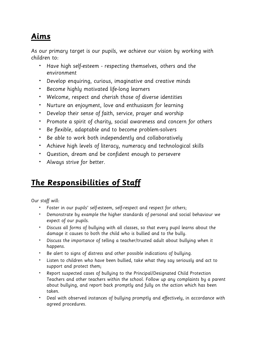#### **Aims**

As our primary target is our pupils, we achieve our vision by working with children to:

- Have high self-esteem respecting themselves, others and the environment
- Develop enquiring, curious, imaginative and creative minds
- Become highly motivated life-long learners
- Welcome, respect and cherish those of diverse identities
- Nurture an enjoyment, love and enthusiasm for learning
- Develop their sense of faith, service, prayer and worship
- Promote a spirit of charity, social awareness and concern for others
- Be flexible, adaptable and to become problem-solvers
- Be able to work both independently and collaboratively
- Achieve high levels of literacy, numeracy and technological skills
- Question, dream and be confident enough to persevere
- Always strive for better.

#### **The Responsibilities of Staff**

Our staff will:

- Foster in our pupils' self-esteem, self-respect and respect for others;
- Demonstrate by example the higher standards of personal and social behaviour we expect of our pupils.
- Discuss all forms of bullying with all classes, so that every pupil learns about the damage it causes to both the child who is bullied and to the bully.
- Discuss the importance of telling a teacher/trusted adult about bullying when it happens.
- Be alert to signs of distress and other possible indications of bullying.
- Listen to children who have been bullied, take what they say seriously and act to support and protect them;
- Report suspected cases of bullying to the Principal/Designated Child Protection Teachers and other teachers within the school. Follow up any complaints by a parent about bullying, and report back promptly and fully on the action which has been taken.
- Deal with observed instances of bullying promptly and effectively, in accordance with agreed procedures.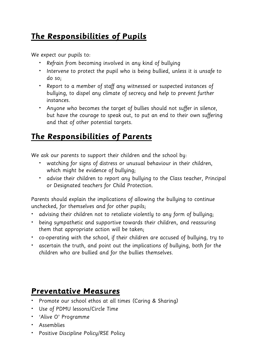### **The Responsibilities of Pupils**

We expect our pupils to:

- Refrain from becoming involved in any kind of bullying
- Intervene to protect the pupil who is being bullied, unless it is unsafe to do so;
- Report to a member of staff any witnessed or suspected instances of bullying, to dispel any climate of secrecy and help to prevent further instances.
- Anyone who becomes the target of bullies should not suffer in silence, but have the courage to speak out, to put an end to their own suffering and that of other potential targets.

#### **The Responsibilities of Parents**

We ask our parents to support their children and the school by:

- watching for signs of distress or unusual behaviour in their children, which might be evidence of bullying;
- advise their children to report any bullying to the Class teacher, Principal or Designated teachers for Child Protection.

Parents should explain the implications of allowing the bullying to continue unchecked, for themselves and for other pupils;

- advising their children not to retaliate violently to any form of bullying;
- being sympathetic and supportive towards their children, and reassuring them that appropriate action will be taken;
- co-operating with the school, if their children are accused of bullying, try to
- ascertain the truth, and point out the implications of bullying, both for the children who are bullied and for the bullies themselves.

#### **Preventative Measures**

- Promote our school ethos at all times (Caring & Sharing)
- Use of PDMU lessons/Circle Time
- 'Alive O' Programme
- Assemblies
- Positive Discipline Policy/RSE Policy